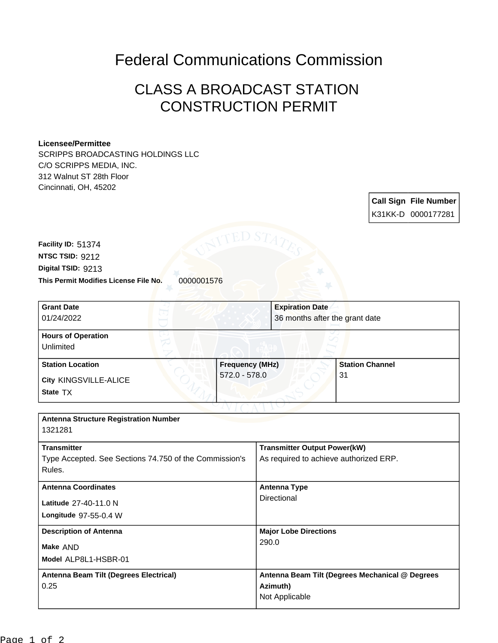## Federal Communications Commission

## CLASS A BROADCAST STATION CONSTRUCTION PERMIT

## **Licensee/Permittee**

SCRIPPS BROADCASTING HOLDINGS LLC C/O SCRIPPS MEDIA, INC. 312 Walnut ST 28th Floor Cincinnati, OH, 45202

> **Call Sign File Number** K31KK-D 0000177281

**This Permit Modifies License File No.** 0000001576 **Digital TSID:** 9213 **NTSC TSID:** 9212 **Facility ID:** 51374

| <b>Grant Date</b>                      | <b>Expiration Date</b> |                                |  |
|----------------------------------------|------------------------|--------------------------------|--|
| 01/24/2022                             |                        | 36 months after the grant date |  |
| <b>Hours of Operation</b><br>Unlimited |                        |                                |  |
| <b>Station Location</b>                | <b>Frequency (MHz)</b> | <b>Station Channel</b>         |  |
| City KINGSVILLE-ALICE<br>State TX      | $572.0 - 578.0$        | 31                             |  |
|                                        |                        |                                |  |

**Model** ALP8L1-HSBR-01 **Make** AND **Longitude** 97-55-0.4 W **Latitude** 27-40-11.0 N **Antenna Structure Registration Number** 1321281 **Transmitter** Type Accepted. See Sections 74.750 of the Commission's Rules. **Transmitter Output Power(kW)** As required to achieve authorized ERP. **Antenna Coordinates Antenna Type Directional Description of Antenna Major Lobe Directions** 290.0 **Antenna Beam Tilt (Degrees Electrical)** 0.25 **Antenna Beam Tilt (Degrees Mechanical @ Degrees Azimuth)** Not Applicable